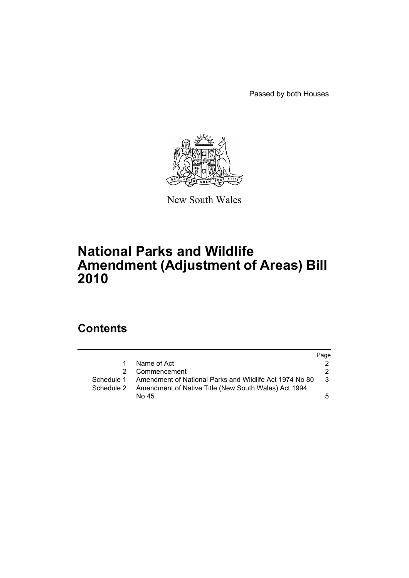Passed by both Houses



New South Wales

## **National Parks and Wildlife Amendment (Adjustment of Areas) Bill 2010**

## **Contents**

|              |                                                                    | Page          |
|--------------|--------------------------------------------------------------------|---------------|
| $\mathbf{1}$ | Name of Act                                                        |               |
|              | 2 Commencement                                                     | 2             |
|              | Schedule 1 Amendment of National Parks and Wildlife Act 1974 No 80 | $\mathcal{S}$ |
|              | Schedule 2 Amendment of Native Title (New South Wales) Act 1994    |               |
|              | No 45                                                              | 5             |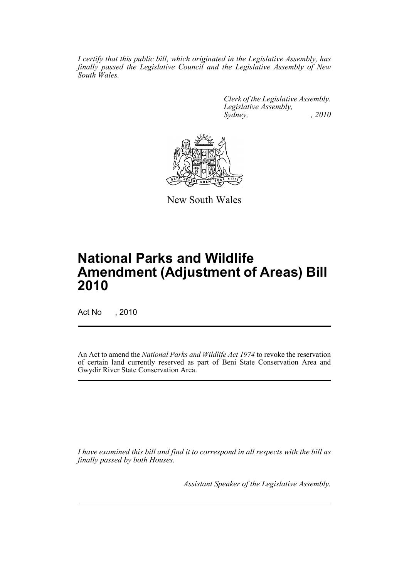*I certify that this public bill, which originated in the Legislative Assembly, has finally passed the Legislative Council and the Legislative Assembly of New South Wales.*

> *Clerk of the Legislative Assembly. Legislative Assembly, Sydney, , 2010*



New South Wales

# **National Parks and Wildlife Amendment (Adjustment of Areas) Bill 2010**

Act No , 2010

An Act to amend the *National Parks and Wildlife Act 1974* to revoke the reservation of certain land currently reserved as part of Beni State Conservation Area and Gwydir River State Conservation Area.

*I have examined this bill and find it to correspond in all respects with the bill as finally passed by both Houses.*

*Assistant Speaker of the Legislative Assembly.*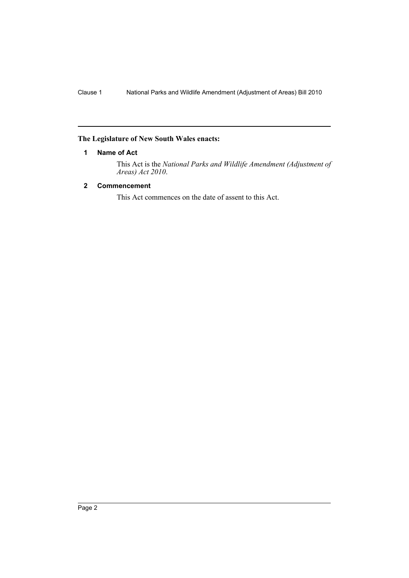### <span id="page-2-0"></span>**The Legislature of New South Wales enacts:**

#### **1 Name of Act**

This Act is the *National Parks and Wildlife Amendment (Adjustment of Areas) Act 2010*.

#### <span id="page-2-1"></span>**2 Commencement**

This Act commences on the date of assent to this Act.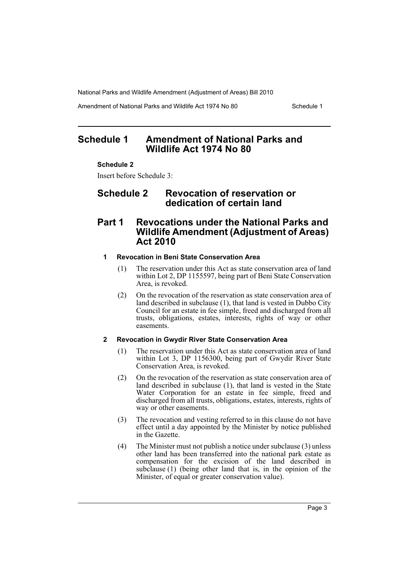National Parks and Wildlife Amendment (Adjustment of Areas) Bill 2010

Amendment of National Parks and Wildlife Act 1974 No 80 Schedule 1

## <span id="page-3-0"></span>**Schedule 1 Amendment of National Parks and Wildlife Act 1974 No 80**

#### **Schedule 2**

Insert before Schedule 3:

## **Schedule 2 Revocation of reservation or dedication of certain land**

### **Part 1 Revocations under the National Parks and Wildlife Amendment (Adjustment of Areas) Act 2010**

#### **1 Revocation in Beni State Conservation Area**

- (1) The reservation under this Act as state conservation area of land within Lot 2, DP 1155597, being part of Beni State Conservation Area, is revoked.
- (2) On the revocation of the reservation as state conservation area of land described in subclause (1), that land is vested in Dubbo City Council for an estate in fee simple, freed and discharged from all trusts, obligations, estates, interests, rights of way or other easements.

#### **2 Revocation in Gwydir River State Conservation Area**

- (1) The reservation under this Act as state conservation area of land within Lot 3, DP 1156300, being part of Gwydir River State Conservation Area, is revoked.
- (2) On the revocation of the reservation as state conservation area of land described in subclause (1), that land is vested in the State Water Corporation for an estate in fee simple, freed and discharged from all trusts, obligations, estates, interests, rights of way or other easements.
- (3) The revocation and vesting referred to in this clause do not have effect until a day appointed by the Minister by notice published in the Gazette.
- (4) The Minister must not publish a notice under subclause (3) unless other land has been transferred into the national park estate as compensation for the excision of the land described in subclause (1) (being other land that is, in the opinion of the Minister, of equal or greater conservation value).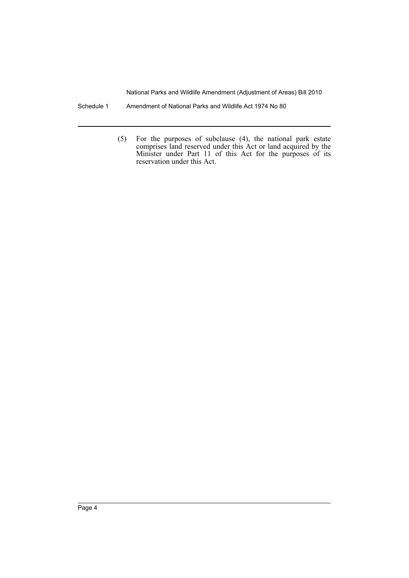National Parks and Wildlife Amendment (Adjustment of Areas) Bill 2010

- Schedule 1 Amendment of National Parks and Wildlife Act 1974 No 80
	- (5) For the purposes of subclause (4), the national park estate comprises land reserved under this Act or land acquired by the Minister under Part 11 of this Act for the purposes of its reservation under this Act.